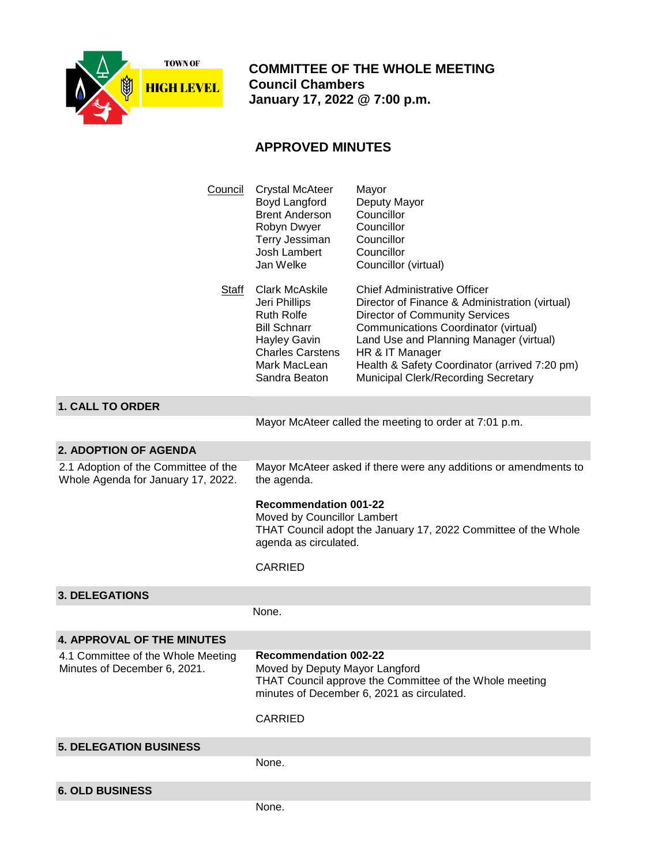

 **COMMITTEE OF THE WHOLE MEETING Council Chambers January 17, 2022 @ 7:00 p.m.**

## **APPROVED MINUTES**

| Council                                                                    | <b>Crystal McAteer</b><br>Boyd Langford<br><b>Brent Anderson</b><br>Robyn Dwyer<br>Terry Jessiman<br>Josh Lambert<br>Jan Welke                                                            | Mayor<br>Deputy Mayor<br>Councillor<br>Councillor<br>Councillor<br>Councillor<br>Councillor (virtual)                                                                                                                                                                                                                        |
|----------------------------------------------------------------------------|-------------------------------------------------------------------------------------------------------------------------------------------------------------------------------------------|------------------------------------------------------------------------------------------------------------------------------------------------------------------------------------------------------------------------------------------------------------------------------------------------------------------------------|
| Staff                                                                      | <b>Clark McAskile</b><br>Jeri Phillips<br><b>Ruth Rolfe</b><br><b>Bill Schnarr</b><br><b>Hayley Gavin</b><br><b>Charles Carstens</b><br>Mark MacLean<br>Sandra Beaton                     | <b>Chief Administrative Officer</b><br>Director of Finance & Administration (virtual)<br><b>Director of Community Services</b><br>Communications Coordinator (virtual)<br>Land Use and Planning Manager (virtual)<br>HR & IT Manager<br>Health & Safety Coordinator (arrived 7:20 pm)<br>Municipal Clerk/Recording Secretary |
| <b>1. CALL TO ORDER</b>                                                    |                                                                                                                                                                                           |                                                                                                                                                                                                                                                                                                                              |
|                                                                            | Mayor McAteer called the meeting to order at 7:01 p.m.                                                                                                                                    |                                                                                                                                                                                                                                                                                                                              |
| 2. ADOPTION OF AGENDA                                                      |                                                                                                                                                                                           |                                                                                                                                                                                                                                                                                                                              |
| 2.1 Adoption of the Committee of the<br>Whole Agenda for January 17, 2022. | Mayor McAteer asked if there were any additions or amendments to<br>the agenda.                                                                                                           |                                                                                                                                                                                                                                                                                                                              |
|                                                                            | <b>Recommendation 001-22</b><br>Moved by Councillor Lambert<br>THAT Council adopt the January 17, 2022 Committee of the Whole<br>agenda as circulated.                                    |                                                                                                                                                                                                                                                                                                                              |
|                                                                            | <b>CARRIED</b>                                                                                                                                                                            |                                                                                                                                                                                                                                                                                                                              |
| <b>3. DELEGATIONS</b>                                                      |                                                                                                                                                                                           |                                                                                                                                                                                                                                                                                                                              |
|                                                                            | None.                                                                                                                                                                                     |                                                                                                                                                                                                                                                                                                                              |
| <b>4. APPROVAL OF THE MINUTES</b>                                          |                                                                                                                                                                                           |                                                                                                                                                                                                                                                                                                                              |
| 4.1 Committee of the Whole Meeting<br>Minutes of December 6, 2021.         | <b>Recommendation 002-22</b><br>Moved by Deputy Mayor Langford<br>THAT Council approve the Committee of the Whole meeting<br>minutes of December 6, 2021 as circulated.<br><b>CARRIED</b> |                                                                                                                                                                                                                                                                                                                              |
|                                                                            |                                                                                                                                                                                           |                                                                                                                                                                                                                                                                                                                              |
| <b>5. DELEGATION BUSINESS</b>                                              |                                                                                                                                                                                           |                                                                                                                                                                                                                                                                                                                              |
|                                                                            | None.                                                                                                                                                                                     |                                                                                                                                                                                                                                                                                                                              |
| <b>6. OLD BUSINESS</b>                                                     |                                                                                                                                                                                           |                                                                                                                                                                                                                                                                                                                              |
|                                                                            | None.                                                                                                                                                                                     |                                                                                                                                                                                                                                                                                                                              |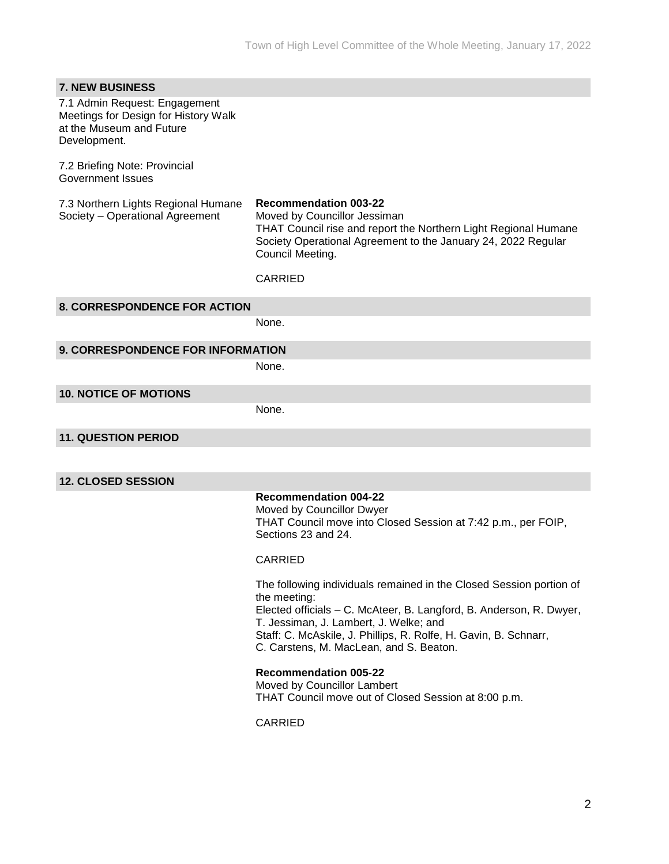| <b>7. NEW BUSINESS</b>                                                                                            |                                                                                                                                                                                                                                                                                                                     |  |  |
|-------------------------------------------------------------------------------------------------------------------|---------------------------------------------------------------------------------------------------------------------------------------------------------------------------------------------------------------------------------------------------------------------------------------------------------------------|--|--|
| 7.1 Admin Request: Engagement<br>Meetings for Design for History Walk<br>at the Museum and Future<br>Development. |                                                                                                                                                                                                                                                                                                                     |  |  |
| 7.2 Briefing Note: Provincial<br><b>Government Issues</b>                                                         |                                                                                                                                                                                                                                                                                                                     |  |  |
| 7.3 Northern Lights Regional Humane<br>Society - Operational Agreement                                            | <b>Recommendation 003-22</b><br>Moved by Councillor Jessiman<br>THAT Council rise and report the Northern Light Regional Humane<br>Society Operational Agreement to the January 24, 2022 Regular<br>Council Meeting.                                                                                                |  |  |
|                                                                                                                   | <b>CARRIED</b>                                                                                                                                                                                                                                                                                                      |  |  |
| <b>8. CORRESPONDENCE FOR ACTION</b>                                                                               |                                                                                                                                                                                                                                                                                                                     |  |  |
|                                                                                                                   | None.                                                                                                                                                                                                                                                                                                               |  |  |
| 9. CORRESPONDENCE FOR INFORMATION                                                                                 |                                                                                                                                                                                                                                                                                                                     |  |  |
|                                                                                                                   | None.                                                                                                                                                                                                                                                                                                               |  |  |
| <b>10. NOTICE OF MOTIONS</b>                                                                                      |                                                                                                                                                                                                                                                                                                                     |  |  |
|                                                                                                                   | None.                                                                                                                                                                                                                                                                                                               |  |  |
| <b>11. QUESTION PERIOD</b>                                                                                        |                                                                                                                                                                                                                                                                                                                     |  |  |
|                                                                                                                   |                                                                                                                                                                                                                                                                                                                     |  |  |
| <b>12. CLOSED SESSION</b>                                                                                         |                                                                                                                                                                                                                                                                                                                     |  |  |
|                                                                                                                   | <b>Recommendation 004-22</b><br>Moved by Councillor Dwyer<br>THAT Council move into Closed Session at 7:42 p.m., per FOIP,<br>Sections 23 and 24.                                                                                                                                                                   |  |  |
|                                                                                                                   | <b>CARRIED</b>                                                                                                                                                                                                                                                                                                      |  |  |
|                                                                                                                   | The following individuals remained in the Closed Session portion of<br>the meeting:<br>Elected officials - C. McAteer, B. Langford, B. Anderson, R. Dwyer,<br>T. Jessiman, J. Lambert, J. Welke; and<br>Staff: C. McAskile, J. Phillips, R. Rolfe, H. Gavin, B. Schnarr,<br>C. Carstens, M. MacLean, and S. Beaton. |  |  |
|                                                                                                                   | <b>Recommendation 005-22</b><br>Moved by Councillor Lambert<br>THAT Council move out of Closed Session at 8:00 p.m.                                                                                                                                                                                                 |  |  |
|                                                                                                                   | <b>CARRIED</b>                                                                                                                                                                                                                                                                                                      |  |  |